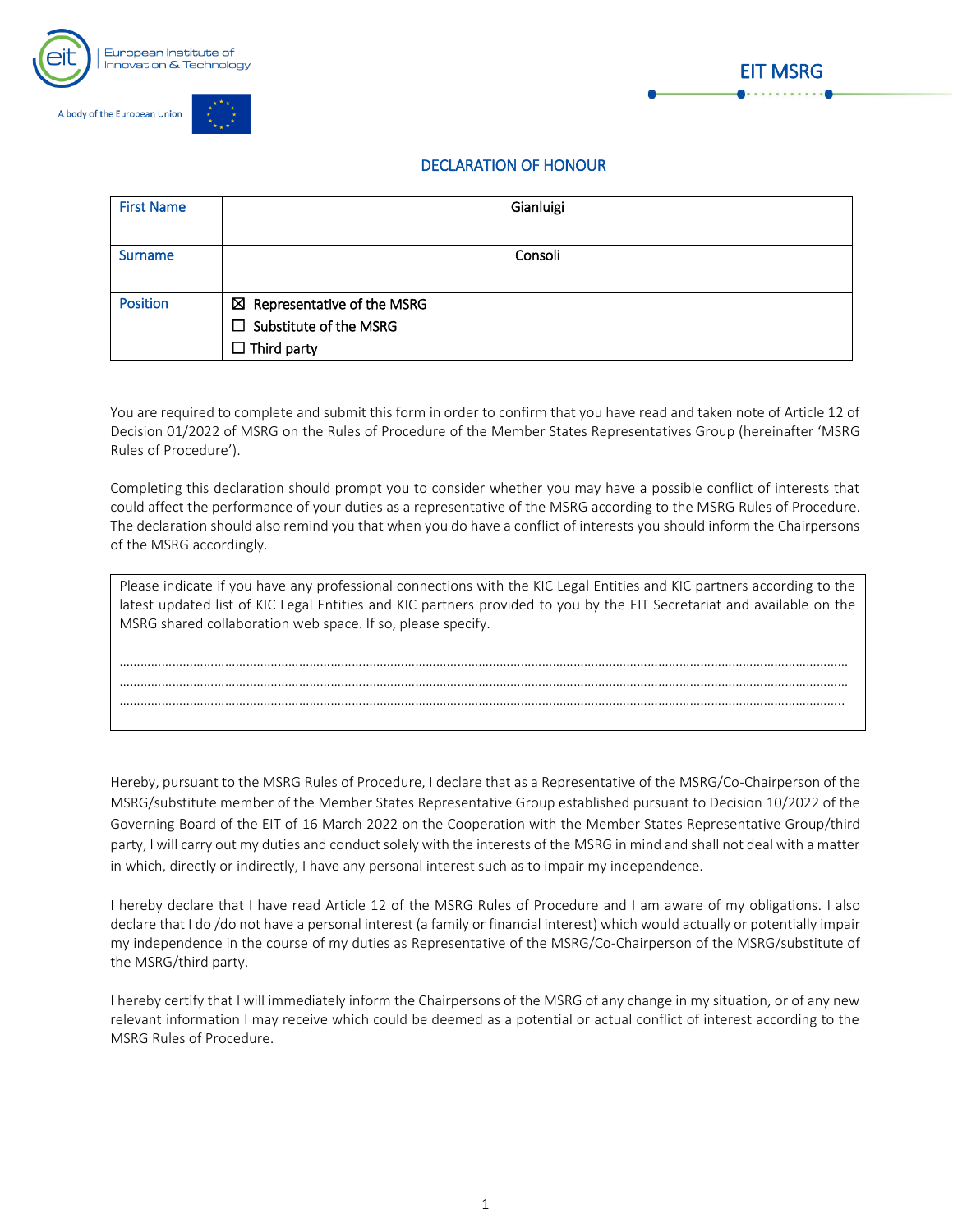





## DECLARATION OF HONOUR

| <b>First Name</b> | Gianluigi                              |
|-------------------|----------------------------------------|
|                   |                                        |
| <b>Surname</b>    | Consoli                                |
|                   |                                        |
| <b>Position</b>   | $\boxtimes$ Representative of the MSRG |
|                   | $\Box$ Substitute of the MSRG          |
|                   | $\Box$ Third party                     |

You are required to complete and submit this form in order to confirm that you have read and taken note of Article 12 of Decision 01/2022 of MSRG on the Rules of Procedure of the Member States Representatives Group (hereinafter 'MSRG Rules of Procedure').

Completing this declaration should prompt you to consider whether you may have a possible conflict of interests that could affect the performance of your duties as a representative of the MSRG according to the MSRG Rules of Procedure. The declaration should also remind you that when you do have a conflict of interests you should inform the Chairpersons of the MSRG accordingly.

| Please indicate if you have any professional connections with the KIC Legal Entities and KIC partners according to the<br>latest updated list of KIC Legal Entities and KIC partners provided to you by the EIT Secretariat and available on the<br>MSRG shared collaboration web space. If so, please specify. |
|-----------------------------------------------------------------------------------------------------------------------------------------------------------------------------------------------------------------------------------------------------------------------------------------------------------------|
|                                                                                                                                                                                                                                                                                                                 |
|                                                                                                                                                                                                                                                                                                                 |
|                                                                                                                                                                                                                                                                                                                 |
|                                                                                                                                                                                                                                                                                                                 |
|                                                                                                                                                                                                                                                                                                                 |

Hereby, pursuant to the MSRG Rules of Procedure, I declare that as a Representative of the MSRG/Co-Chairperson of the MSRG/substitute member of the Member States Representative Group established pursuant to Decision 10/2022 of the Governing Board of the EIT of 16 March 2022 on the Cooperation with the Member States Representative Group/third party, I will carry out my duties and conduct solely with the interests of the MSRG in mind and shall not deal with a matter in which, directly or indirectly, I have any personal interest such as to impair my independence.

I hereby declare that I have read Article 12 of the MSRG Rules of Procedure and I am aware of my obligations. I also declare that I do /do not have a personal interest (a family or financial interest) which would actually or potentially impair my independence in the course of my duties as Representative of the MSRG/Co-Chairperson of the MSRG/substitute of the MSRG/third party.

I hereby certify that I will immediately inform the Chairpersons of the MSRG of any change in my situation, or of any new relevant information I may receive which could be deemed as a potential or actual conflict of interest according to the MSRG Rules of Procedure.